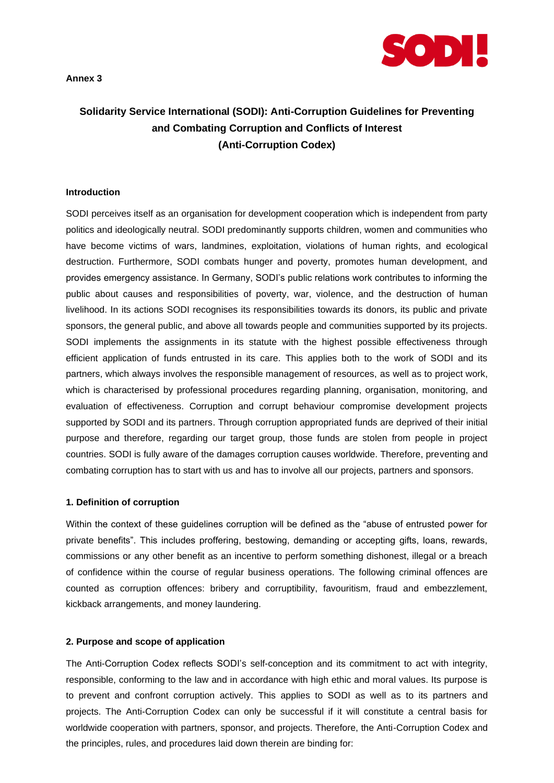**Annex 3**



# **Solidarity Service International (SODI): Anti-Corruption Guidelines for Preventing and Combating Corruption and Conflicts of Interest (Anti-Corruption Codex)**

#### **Introduction**

SODI perceives itself as an organisation for development cooperation which is independent from party politics and ideologically neutral. SODI predominantly supports children, women and communities who have become victims of wars, landmines, exploitation, violations of human rights, and ecological destruction. Furthermore, SODI combats hunger and poverty, promotes human development, and provides emergency assistance. In Germany, SODI's public relations work contributes to informing the public about causes and responsibilities of poverty, war, violence, and the destruction of human livelihood. In its actions SODI recognises its responsibilities towards its donors, its public and private sponsors, the general public, and above all towards people and communities supported by its projects. SODI implements the assignments in its statute with the highest possible effectiveness through efficient application of funds entrusted in its care. This applies both to the work of SODI and its partners, which always involves the responsible management of resources, as well as to project work, which is characterised by professional procedures regarding planning, organisation, monitoring, and evaluation of effectiveness. Corruption and corrupt behaviour compromise development projects supported by SODI and its partners. Through corruption appropriated funds are deprived of their initial purpose and therefore, regarding our target group, those funds are stolen from people in project countries. SODI is fully aware of the damages corruption causes worldwide. Therefore, preventing and combating corruption has to start with us and has to involve all our projects, partners and sponsors.

#### **1. Definition of corruption**

Within the context of these guidelines corruption will be defined as the "abuse of entrusted power for private benefits". This includes proffering, bestowing, demanding or accepting gifts, loans, rewards, commissions or any other benefit as an incentive to perform something dishonest, illegal or a breach of confidence within the course of regular business operations. The following criminal offences are counted as corruption offences: bribery and corruptibility, favouritism, fraud and embezzlement, kickback arrangements, and money laundering.

#### **2. Purpose and scope of application**

The Anti-Corruption Codex reflects SODI's self-conception and its commitment to act with integrity, responsible, conforming to the law and in accordance with high ethic and moral values. Its purpose is to prevent and confront corruption actively. This applies to SODI as well as to its partners and projects. The Anti-Corruption Codex can only be successful if it will constitute a central basis for worldwide cooperation with partners, sponsor, and projects. Therefore, the Anti-Corruption Codex and the principles, rules, and procedures laid down therein are binding for: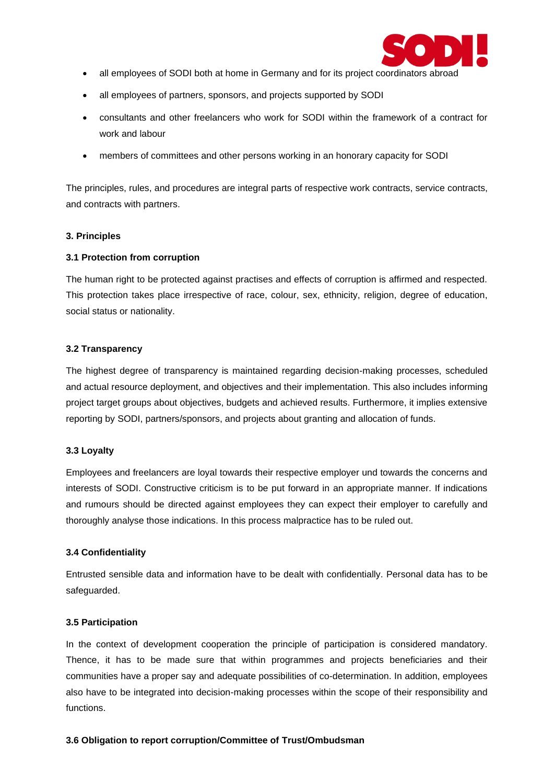

- all employees of SODI both at home in Germany and for its project coordinators abroad
- all employees of partners, sponsors, and projects supported by SODI
- consultants and other freelancers who work for SODI within the framework of a contract for work and labour
- members of committees and other persons working in an honorary capacity for SODI

The principles, rules, and procedures are integral parts of respective work contracts, service contracts, and contracts with partners.

# **3. Principles**

## **3.1 Protection from corruption**

The human right to be protected against practises and effects of corruption is affirmed and respected. This protection takes place irrespective of race, colour, sex, ethnicity, religion, degree of education, social status or nationality.

## **3.2 Transparency**

The highest degree of transparency is maintained regarding decision-making processes, scheduled and actual resource deployment, and objectives and their implementation. This also includes informing project target groups about objectives, budgets and achieved results. Furthermore, it implies extensive reporting by SODI, partners/sponsors, and projects about granting and allocation of funds.

# **3.3 Loyalty**

Employees and freelancers are loyal towards their respective employer und towards the concerns and interests of SODI. Constructive criticism is to be put forward in an appropriate manner. If indications and rumours should be directed against employees they can expect their employer to carefully and thoroughly analyse those indications. In this process malpractice has to be ruled out.

# **3.4 Confidentiality**

Entrusted sensible data and information have to be dealt with confidentially. Personal data has to be safeguarded.

#### **3.5 Participation**

In the context of development cooperation the principle of participation is considered mandatory. Thence, it has to be made sure that within programmes and projects beneficiaries and their communities have a proper say and adequate possibilities of co-determination. In addition, employees also have to be integrated into decision-making processes within the scope of their responsibility and functions.

#### **3.6 Obligation to report corruption/Committee of Trust/Ombudsman**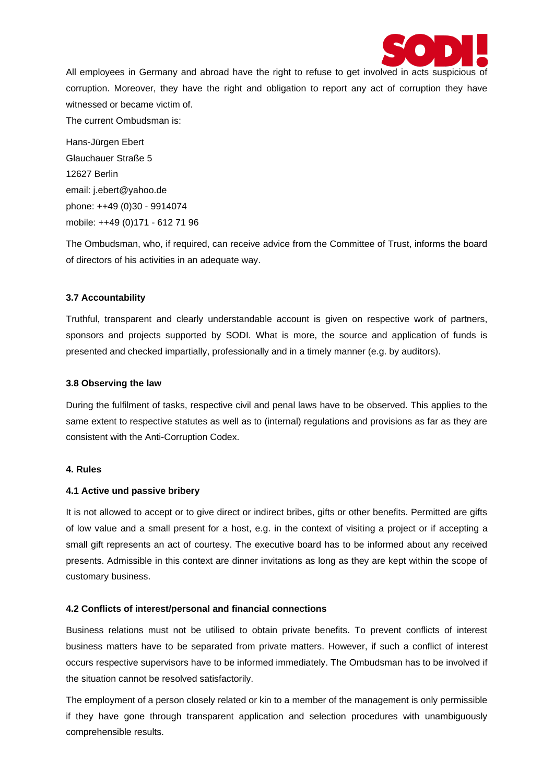

All employees in Germany and abroad have the right to refuse to get involved in acts suspicious of corruption. Moreover, they have the right and obligation to report any act of corruption they have witnessed or became victim of.

The current Ombudsman is:

Hans-Jürgen Ebert Glauchauer Straße 5 12627 Berlin email: j.ebert@yahoo.de phone: ++49 (0)30 - 9914074 mobile: ++49 (0)171 - 612 71 96

The Ombudsman, who, if required, can receive advice from the Committee of Trust, informs the board of directors of his activities in an adequate way.

# **3.7 Accountability**

Truthful, transparent and clearly understandable account is given on respective work of partners, sponsors and projects supported by SODI. What is more, the source and application of funds is presented and checked impartially, professionally and in a timely manner (e.g. by auditors).

#### **3.8 Observing the law**

During the fulfilment of tasks, respective civil and penal laws have to be observed. This applies to the same extent to respective statutes as well as to (internal) regulations and provisions as far as they are consistent with the Anti-Corruption Codex.

#### **4. Rules**

# **4.1 Active und passive bribery**

It is not allowed to accept or to give direct or indirect bribes, gifts or other benefits. Permitted are gifts of low value and a small present for a host, e.g. in the context of visiting a project or if accepting a small gift represents an act of courtesy. The executive board has to be informed about any received presents. Admissible in this context are dinner invitations as long as they are kept within the scope of customary business.

# **4.2 Conflicts of interest/personal and financial connections**

Business relations must not be utilised to obtain private benefits. To prevent conflicts of interest business matters have to be separated from private matters. However, if such a conflict of interest occurs respective supervisors have to be informed immediately. The Ombudsman has to be involved if the situation cannot be resolved satisfactorily.

The employment of a person closely related or kin to a member of the management is only permissible if they have gone through transparent application and selection procedures with unambiguously comprehensible results.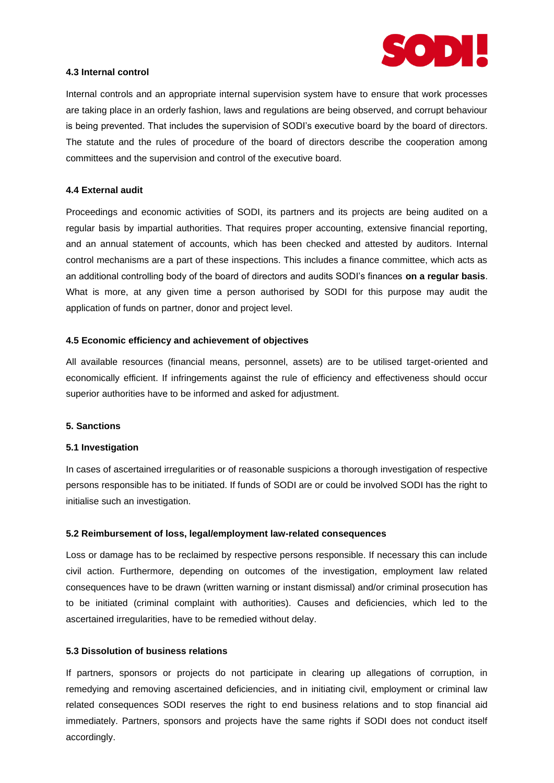

## **4.3 Internal control**

Internal controls and an appropriate internal supervision system have to ensure that work processes are taking place in an orderly fashion, laws and regulations are being observed, and corrupt behaviour is being prevented. That includes the supervision of SODI's executive board by the board of directors. The statute and the rules of procedure of the board of directors describe the cooperation among committees and the supervision and control of the executive board.

## **4.4 External audit**

Proceedings and economic activities of SODI, its partners and its projects are being audited on a regular basis by impartial authorities. That requires proper accounting, extensive financial reporting, and an annual statement of accounts, which has been checked and attested by auditors. Internal control mechanisms are a part of these inspections. This includes a finance committee, which acts as an additional controlling body of the board of directors and audits SODI's finances **on a regular basis**. What is more, at any given time a person authorised by SODI for this purpose may audit the application of funds on partner, donor and project level.

#### **4.5 Economic efficiency and achievement of objectives**

All available resources (financial means, personnel, assets) are to be utilised target-oriented and economically efficient. If infringements against the rule of efficiency and effectiveness should occur superior authorities have to be informed and asked for adjustment.

#### **5. Sanctions**

#### **5.1 Investigation**

In cases of ascertained irregularities or of reasonable suspicions a thorough investigation of respective persons responsible has to be initiated. If funds of SODI are or could be involved SODI has the right to initialise such an investigation.

#### **5.2 Reimbursement of loss, legal/employment law-related consequences**

Loss or damage has to be reclaimed by respective persons responsible. If necessary this can include civil action. Furthermore, depending on outcomes of the investigation, employment law related consequences have to be drawn (written warning or instant dismissal) and/or criminal prosecution has to be initiated (criminal complaint with authorities). Causes and deficiencies, which led to the ascertained irregularities, have to be remedied without delay.

## **5.3 Dissolution of business relations**

If partners, sponsors or projects do not participate in clearing up allegations of corruption, in remedying and removing ascertained deficiencies, and in initiating civil, employment or criminal law related consequences SODI reserves the right to end business relations and to stop financial aid immediately. Partners, sponsors and projects have the same rights if SODI does not conduct itself accordingly.